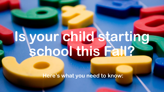# **Is your child starting school this Fall?**

**Here's what you need to know:**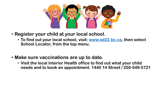

- **Register your child at your local school.**
	- **To find out your local school, visit: [www.sd22.bc.ca,](http://www.sd22.bc.ca/) then select School Locator, from the top menu.**
- **Make sure vaccinations are up to date.**
	- **Visit the local Interior Health office to find out what your child needs and to book an appointment. 1440 14 Street / 250-549-5721**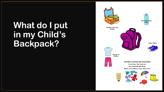# **What do I put in my Child's Backpack?**

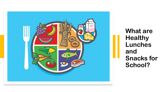

**What are Healthy Lunches and Snacks for School?**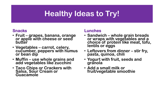## **Healthy Ideas to Try!**

#### **Snacks**

- **Fruit – grapes, banana, orange or apple with cheese or seed butter**
- **Vegetables – carrot, celery, cucumber, peppers with humus or bean dip**
- **Muffin – use whole grains and add vegetables like zucchini**
- **Taco Chips or Crackers with Salsa, Sour Cream or Guacamole**

#### **Lunches**

- **Sandwich – whole grain breads or wraps with vegetables and a choice of protein like meat, tofu, lentils or eggs**
- **Leftovers from dinner – stir fry, pasta, quinoa, chili**
- **Yogurt with fruit, seeds and granola**
- **Add a small milk or fruit/vegetable smoothie**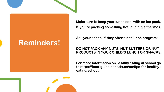### **Reminders!**

**Make sure to keep your lunch cool with an ice pack. If you're packing something hot, put it in a thermos.**

**Ask your school if they offer a hot lunch program!**

#### **DO NOT PACK ANY NUTS, NUT BUTTERS OR NUT PRODUCTS IN YOUR CHILD'S LUNCH OR SNACKS.**

**For more information on healthy eating at school go to https://food-guide.canada.ca/en/tips-for-healthyeating/school/**